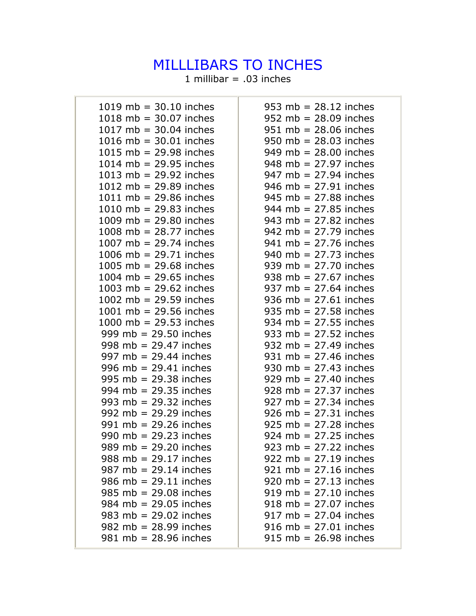## MILLLIBARS TO INCHES

1 millibar =  $.03$  inches

| 1019 mb = $30.10$ inches                | 953 mb = $28.12$ inches                 |
|-----------------------------------------|-----------------------------------------|
| 1018 mb = $30.07$ inches                | $952 \text{ mb} = 28.09 \text{ inches}$ |
| 1017 mb = $30.04$ inches                | $951$ mb = 28.06 inches                 |
| 1016 mb = $30.01$ inches                | $950$ mb = 28.03 inches                 |
| 1015 mb = $29.98$ inches                | 949 mb = $28.00$ inches                 |
| 1014 mb = $29.95$ inches                | $948$ mb = 27.97 inches                 |
| 1013 mb = $29.92$ inches                | 947 mb = $27.94$ inches                 |
| 1012 mb = $29.89$ inches                | $946$ mb = 27.91 inches                 |
| 1011 mb = $29.86$ inches                | $945$ mb = 27.88 inches                 |
| 1010 mb = $29.83$ inches                | 944 mb = $27.85$ inches                 |
| 1009 mb = $29.80$ inches                | 943 mb = $27.82$ inches                 |
| 1008 mb = $28.77$ inches                | 942 mb = $27.79$ inches                 |
| 1007 mb = $29.74$ inches                | $941$ mb = 27.76 inches                 |
| 1006 mb = $29.71$ inches                | 940 mb = $27.73$ inches                 |
| 1005 mb = $29.68$ inches                | 939 mb = $27.70$ inches                 |
| 1004 mb = $29.65$ inches                | 938 mb = $27.67$ inches                 |
| 1003 mb = $29.62$ inches                | 937 mb = $27.64$ inches                 |
| 1002 mb = $29.59$ inches                | 936 mb = $27.61$ inches                 |
| 1001 mb = $29.56$ inches                | 935 mb = $27.58$ inches                 |
| 1000 mb = $29.53$ inches                | 934 mb = $27.55$ inches                 |
| 999 mb = $29.50$ inches                 | 933 mb = $27.52$ inches                 |
| 998 mb = $29.47$ inches                 | 932 mb = $27.49$ inches                 |
| 997 mb = $29.44$ inches                 | 931 mb = $27.46$ inches                 |
| 996 mb = $29.41$ inches                 | 930 mb = $27.43$ inches                 |
| 995 mb = $29.38$ inches                 | $929$ mb = 27.40 inches                 |
| 994 mb = $29.35$ inches                 | $928$ mb = 27.37 inches                 |
| 993 mb = $29.32$ inches                 | $927 \text{ mb} = 27.34 \text{ inches}$ |
| 992 mb = $29.29$ inches                 | $926 \text{ mb} = 27.31 \text{ inches}$ |
| 991 mb = $29.26$ inches                 | $925 \text{ mb} = 27.28 \text{ inches}$ |
| 990 mb = $29.23$ inches                 | $924 \text{ mb} = 27.25 \text{ inches}$ |
| 989 mb = $29.20$ inches                 | 923 mb = $27.22$ inches                 |
| 988 mb = $29.17$ inches                 | 922 mb = $27.19$ inches                 |
| 987 mb = $29.14$ inches                 | $921 \text{ mb} = 27.16 \text{ inches}$ |
| 986 mb = $29.11$ inches                 | 920 mb = $27.13$ inches                 |
| $985$ mb = 29.08 inches                 | $919$ mb = 27.10 inches                 |
| 984 mb = $29.05$ inches                 | $918$ mb = 27.07 inches                 |
| 983 mb = $29.02$ inches                 | $917 \text{ mb} = 27.04 \text{ inches}$ |
| 982 mb = $28.99$ inches                 | $916$ mb = 27.01 inches                 |
| $981 \text{ mb} = 28.96 \text{ inches}$ | $915$ mb = 26.98 inches                 |